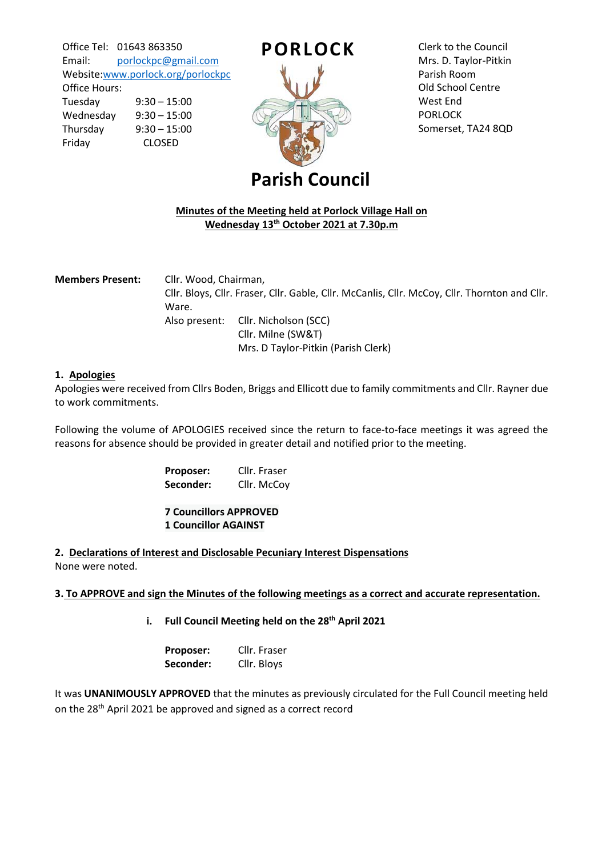Office Tel: 01643 863350 Email: [porlockpc@gmail.com](mailto:porlockpc@gmail.com) Website[:www.porlock.org/porlockpc](http://www.porlock.org/porlockpc)

Office Hours: Tuesday 9:30 – 15:00 Wednesday 9:30 – 15:00 Thursday 9:30 – 15:00 Friday CLOSED



Clerk to the Council Mrs. D. Taylor-Pitkin Parish Room Old School Centre West End PORLOCK Somerset, TA24 8QD

# **Parish Council**

# **Minutes of the Meeting held at Porlock Village Hall on Wednesday 13th October 2021 at 7.30p.m**

| <b>Members Present:</b> | Cllr. Wood, Chairman, |                                                                                               |
|-------------------------|-----------------------|-----------------------------------------------------------------------------------------------|
|                         |                       | Cllr. Bloys, Cllr. Fraser, Cllr. Gable, Cllr. McCanlis, Cllr. McCoy, Cllr. Thornton and Cllr. |
|                         | Ware.                 |                                                                                               |
|                         |                       | Also present: Cllr. Nicholson (SCC)                                                           |
|                         |                       | Cllr. Milne (SW&T)                                                                            |
|                         |                       | Mrs. D Taylor-Pitkin (Parish Clerk)                                                           |

# **1. Apologies**

Apologies were received from Cllrs Boden, Briggs and Ellicott due to family commitments and Cllr. Rayner due to work commitments.

Following the volume of APOLOGIES received since the return to face-to-face meetings it was agreed the reasons for absence should be provided in greater detail and notified prior to the meeting.

> **Proposer:** Cllr. Fraser Seconder: Cllr. McCoy

**7 Councillors APPROVED 1 Councillor AGAINST**

**2. Declarations of Interest and Disclosable Pecuniary Interest Dispensations** None were noted.

#### **3. To APPROVE and sign the Minutes of the following meetings as a correct and accurate representation.**

**i.** Full Council Meeting held on the 28<sup>th</sup> April 2021

**Proposer:** Cllr. Fraser **Seconder:** Cllr. Bloys

It was **UNANIMOUSLY APPROVED** that the minutes as previously circulated for the Full Council meeting held on the 28th April 2021 be approved and signed as a correct record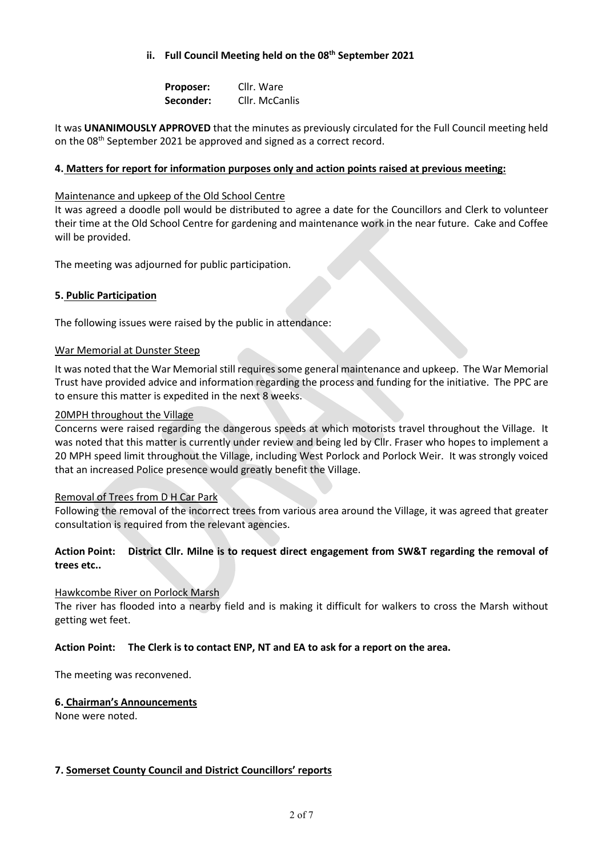# **ii. Full Council Meeting held on the 08th September 2021**

**Proposer:** Cllr. Ware **Seconder:** Cllr. McCanlis

It was **UNANIMOUSLY APPROVED** that the minutes as previously circulated for the Full Council meeting held on the 08th September 2021 be approved and signed as a correct record.

### **4. Matters for report for information purposes only and action points raised at previous meeting:**

#### Maintenance and upkeep of the Old School Centre

It was agreed a doodle poll would be distributed to agree a date for the Councillors and Clerk to volunteer their time at the Old School Centre for gardening and maintenance work in the near future. Cake and Coffee will be provided.

The meeting was adjourned for public participation.

#### **5. Public Participation**

The following issues were raised by the public in attendance:

#### War Memorial at Dunster Steep

It was noted that the War Memorial still requires some general maintenance and upkeep. The War Memorial Trust have provided advice and information regarding the process and funding for the initiative. The PPC are to ensure this matter is expedited in the next 8 weeks.

#### 20MPH throughout the Village

Concerns were raised regarding the dangerous speeds at which motorists travel throughout the Village. It was noted that this matter is currently under review and being led by Cllr. Fraser who hopes to implement a 20 MPH speed limit throughout the Village, including West Porlock and Porlock Weir. It was strongly voiced that an increased Police presence would greatly benefit the Village.

#### Removal of Trees from D H Car Park

Following the removal of the incorrect trees from various area around the Village, it was agreed that greater consultation is required from the relevant agencies.

# **Action Point: District Cllr. Milne is to request direct engagement from SW&T regarding the removal of trees etc..**

#### Hawkcombe River on Porlock Marsh

The river has flooded into a nearby field and is making it difficult for walkers to cross the Marsh without getting wet feet.

#### **Action Point: The Clerk is to contact ENP, NT and EA to ask for a report on the area.**

The meeting was reconvened.

#### **6. Chairman's Announcements**

None were noted.

#### **7. Somerset County Council and District Councillors' reports**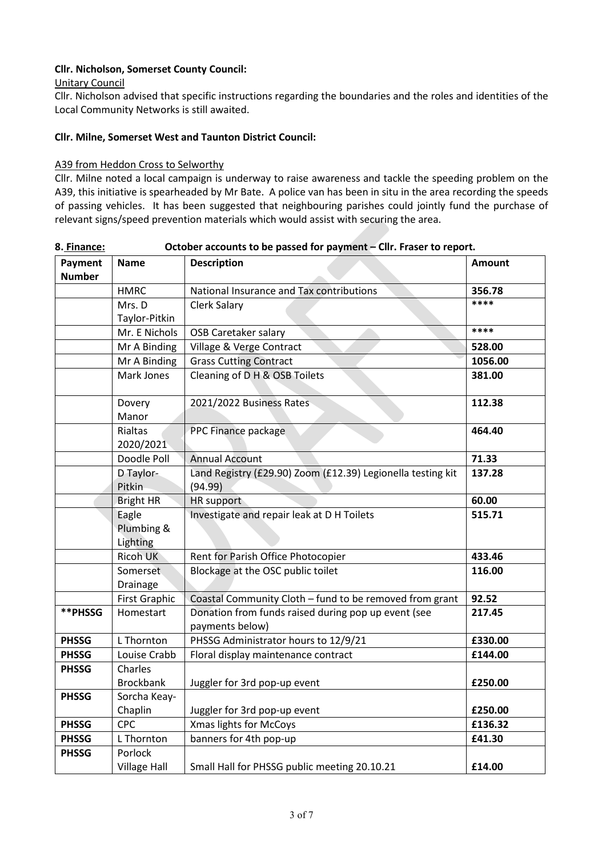# **Cllr. Nicholson, Somerset County Council:**

Unitary Council

Cllr. Nicholson advised that specific instructions regarding the boundaries and the roles and identities of the Local Community Networks is still awaited.

### **Cllr. Milne, Somerset West and Taunton District Council:**

#### A39 from Heddon Cross to Selworthy

Cllr. Milne noted a local campaign is underway to raise awareness and tackle the speeding problem on the A39, this initiative is spearheaded by Mr Bate. A police van has been in situ in the area recording the speeds of passing vehicles. It has been suggested that neighbouring parishes could jointly fund the purchase of relevant signs/speed prevention materials which would assist with securing the area.

| o. <u>rinance:</u><br>Payment | <b>Name</b>          | <b>Description</b>                                                     | <b>Amount</b> |
|-------------------------------|----------------------|------------------------------------------------------------------------|---------------|
| <b>Number</b>                 |                      |                                                                        |               |
|                               | <b>HMRC</b>          | National Insurance and Tax contributions                               | 356.78        |
|                               | Mrs. D               | <b>Clerk Salary</b>                                                    | ****          |
|                               | Taylor-Pitkin        |                                                                        |               |
|                               | Mr. E Nichols        | <b>OSB Caretaker salary</b>                                            | ****          |
|                               | Mr A Binding         | Village & Verge Contract                                               | 528.00        |
|                               | Mr A Binding         | <b>Grass Cutting Contract</b>                                          | 1056.00       |
|                               | Mark Jones           | Cleaning of D H & OSB Toilets                                          | 381.00        |
|                               | Dovery<br>Manor      | 2021/2022 Business Rates                                               | 112.38        |
|                               | Rialtas<br>2020/2021 | PPC Finance package                                                    | 464.40        |
|                               | Doodle Poll          | <b>Annual Account</b>                                                  | 71.33         |
|                               | D Taylor-            | Land Registry (£29.90) Zoom (£12.39) Legionella testing kit            | 137.28        |
|                               | Pitkin               | (94.99)                                                                |               |
|                               | <b>Bright HR</b>     | <b>HR</b> support                                                      | 60.00         |
|                               | Eagle                | Investigate and repair leak at D H Toilets                             | 515.71        |
|                               | Plumbing &           |                                                                        |               |
|                               | Lighting             |                                                                        |               |
|                               | <b>Ricoh UK</b>      | Rent for Parish Office Photocopier                                     | 433.46        |
|                               | Somerset             | Blockage at the OSC public toilet                                      | 116.00        |
|                               | Drainage             |                                                                        |               |
|                               | <b>First Graphic</b> | Coastal Community Cloth - fund to be removed from grant                | 92.52         |
| **PHSSG                       | Homestart            | Donation from funds raised during pop up event (see<br>payments below) | 217.45        |
| <b>PHSSG</b>                  | L Thornton           | PHSSG Administrator hours to 12/9/21                                   | £330.00       |
| <b>PHSSG</b>                  | Louise Crabb         | Floral display maintenance contract                                    | £144.00       |
| <b>PHSSG</b>                  | Charles              |                                                                        |               |
|                               | <b>Brockbank</b>     | Juggler for 3rd pop-up event                                           | £250.00       |
| <b>PHSSG</b>                  | Sorcha Keay-         |                                                                        |               |
|                               | Chaplin              | Juggler for 3rd pop-up event                                           | £250.00       |
| <b>PHSSG</b>                  | CPC                  | Xmas lights for McCoys                                                 | £136.32       |
| <b>PHSSG</b>                  | L Thornton           | banners for 4th pop-up                                                 | £41.30        |
| <b>PHSSG</b>                  | Porlock              |                                                                        |               |
|                               | <b>Village Hall</b>  | Small Hall for PHSSG public meeting 20.10.21                           | £14.00        |

**8. Finance: October accounts to be passed for payment – Cllr. Fraser to report.**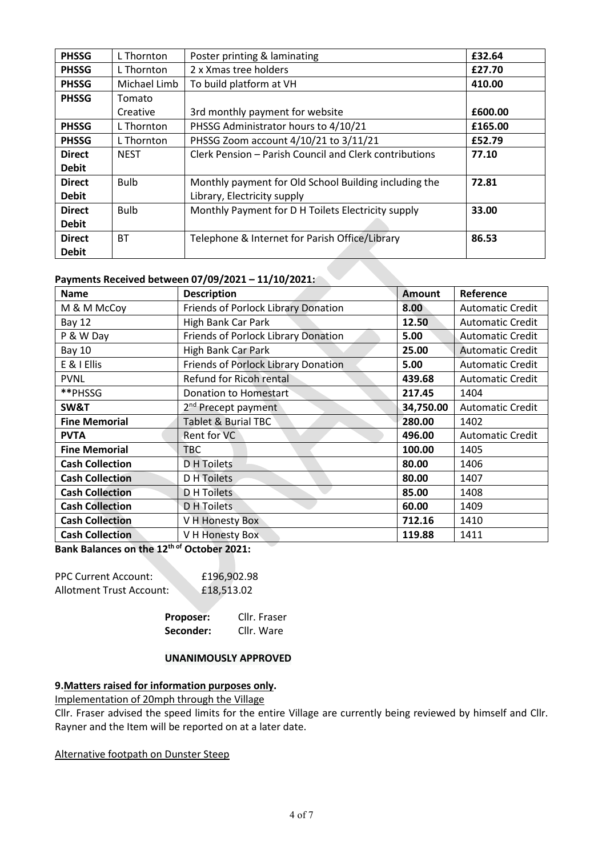| <b>PHSSG</b>  | L Thornton   | Poster printing & laminating                           | £32.64  |
|---------------|--------------|--------------------------------------------------------|---------|
| <b>PHSSG</b>  | L Thornton   | 2 x Xmas tree holders                                  | £27.70  |
| <b>PHSSG</b>  | Michael Limb | To build platform at VH                                | 410.00  |
| <b>PHSSG</b>  | Tomato       |                                                        |         |
|               | Creative     | 3rd monthly payment for website                        | £600.00 |
| <b>PHSSG</b>  | L Thornton   | PHSSG Administrator hours to 4/10/21                   | £165.00 |
| <b>PHSSG</b>  | L Thornton   | PHSSG Zoom account 4/10/21 to 3/11/21                  | £52.79  |
| <b>Direct</b> | <b>NEST</b>  | Clerk Pension - Parish Council and Clerk contributions | 77.10   |
| <b>Debit</b>  |              |                                                        |         |
| <b>Direct</b> | <b>Bulb</b>  | Monthly payment for Old School Building including the  | 72.81   |
| <b>Debit</b>  |              | Library, Electricity supply                            |         |
| <b>Direct</b> | <b>Bulb</b>  | Monthly Payment for D H Toilets Electricity supply     | 33.00   |
| <b>Debit</b>  |              |                                                        |         |
| <b>Direct</b> | <b>BT</b>    | Telephone & Internet for Parish Office/Library         | 86.53   |
| <b>Debit</b>  |              |                                                        |         |

#### **Payments Received between 07/09/2021 – 11/10/2021:**

| <b>Name</b>            | <b>Description</b>                         | <b>Amount</b> | Reference               |
|------------------------|--------------------------------------------|---------------|-------------------------|
| M & M McCoy            | Friends of Porlock Library Donation        | 8.00          | <b>Automatic Credit</b> |
| <b>Bay 12</b>          | High Bank Car Park                         | 12.50         | <b>Automatic Credit</b> |
| P & W Day              | <b>Friends of Porlock Library Donation</b> | 5.00          | Automatic Credit        |
| <b>Bay 10</b>          | High Bank Car Park                         | 25.00         | <b>Automatic Credit</b> |
| E & I Ellis            | Friends of Porlock Library Donation        | 5.00          | <b>Automatic Credit</b> |
| <b>PVNL</b>            | Refund for Ricoh rental                    | 439.68        | <b>Automatic Credit</b> |
| **PHSSG                | Donation to Homestart                      | 217.45        | 1404                    |
| SW&T                   | 2 <sup>nd</sup> Precept payment            | 34,750.00     | <b>Automatic Credit</b> |
| <b>Fine Memorial</b>   | <b>Tablet &amp; Burial TBC</b>             | 280.00        | 1402                    |
| <b>PVTA</b>            | Rent for VC                                | 496.00        | <b>Automatic Credit</b> |
| <b>Fine Memorial</b>   | <b>TBC</b>                                 | 100.00        | 1405                    |
| <b>Cash Collection</b> | D H Toilets                                | 80.00         | 1406                    |
| <b>Cash Collection</b> | D H Toilets                                | 80.00         | 1407                    |
| <b>Cash Collection</b> | D H Toilets                                | 85.00         | 1408                    |
| <b>Cash Collection</b> | D H Toilets                                | 60.00         | 1409                    |
| <b>Cash Collection</b> | V H Honesty Box                            | 712.16        | 1410                    |
| <b>Cash Collection</b> | V H Honesty Box                            | 119.88        | 1411                    |

**Bank Balances on the 12th of October 2021:**

| <b>PPC Current Account:</b> | £196,902.98 |
|-----------------------------|-------------|
| Allotment Trust Account:    | £18,513.02  |

| Proposer: | Cllr. Fraser |
|-----------|--------------|
| Seconder: | Cllr. Ware   |

#### **UNANIMOUSLY APPROVED**

#### **9.Matters raised for information purposes only.**

Implementation of 20mph through the Village

Cllr. Fraser advised the speed limits for the entire Village are currently being reviewed by himself and Cllr. Rayner and the Item will be reported on at a later date.

Alternative footpath on Dunster Steep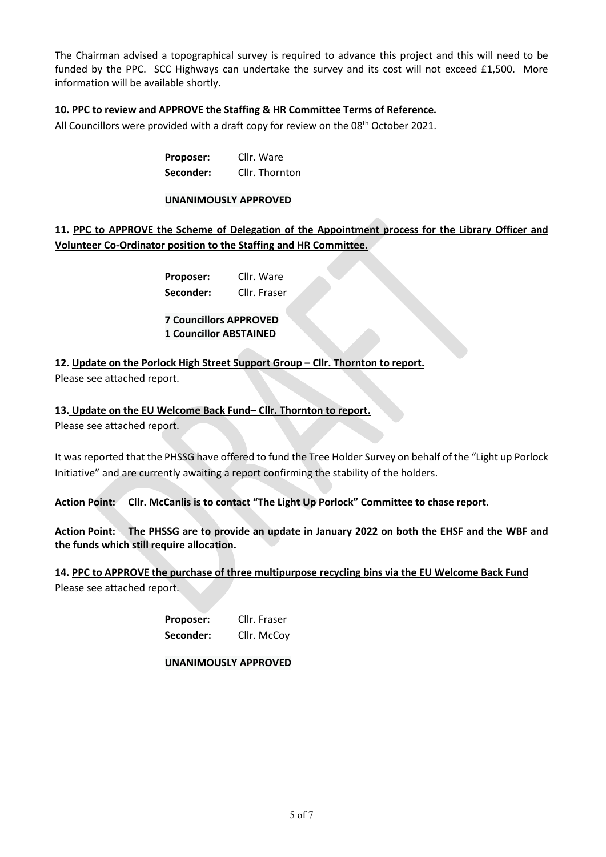The Chairman advised a topographical survey is required to advance this project and this will need to be funded by the PPC. SCC Highways can undertake the survey and its cost will not exceed £1,500. More information will be available shortly.

# **10. PPC to review and APPROVE the Staffing & HR Committee Terms of Reference.**

All Councillors were provided with a draft copy for review on the 08<sup>th</sup> October 2021.

**Proposer:** Cllr. Ware **Seconder:** Cllr. Thornton

#### **UNANIMOUSLY APPROVED**

# **11. PPC to APPROVE the Scheme of Delegation of the Appointment process for the Library Officer and Volunteer Co-Ordinator position to the Staffing and HR Committee.**

**Proposer:** Cllr. Ware **Seconder:** Cllr. Fraser

**7 Councillors APPROVED 1 Councillor ABSTAINED**

**12. Update on the Porlock High Street Support Group – Cllr. Thornton to report.**

Please see attached report.

# **13. Update on the EU Welcome Back Fund– Cllr. Thornton to report.**

Please see attached report.

It was reported that the PHSSG have offered to fund the Tree Holder Survey on behalf of the "Light up Porlock Initiative" and are currently awaiting a report confirming the stability of the holders.

**Action Point: Cllr. McCanlis is to contact "The Light Up Porlock" Committee to chase report.**

**Action Point: The PHSSG are to provide an update in January 2022 on both the EHSF and the WBF and the funds which still require allocation.**

**14. PPC to APPROVE the purchase of three multipurpose recycling bins via the EU Welcome Back Fund** Please see attached report.

> **Proposer:** Cllr. Fraser Seconder: Cllr. McCoy

**UNANIMOUSLY APPROVED**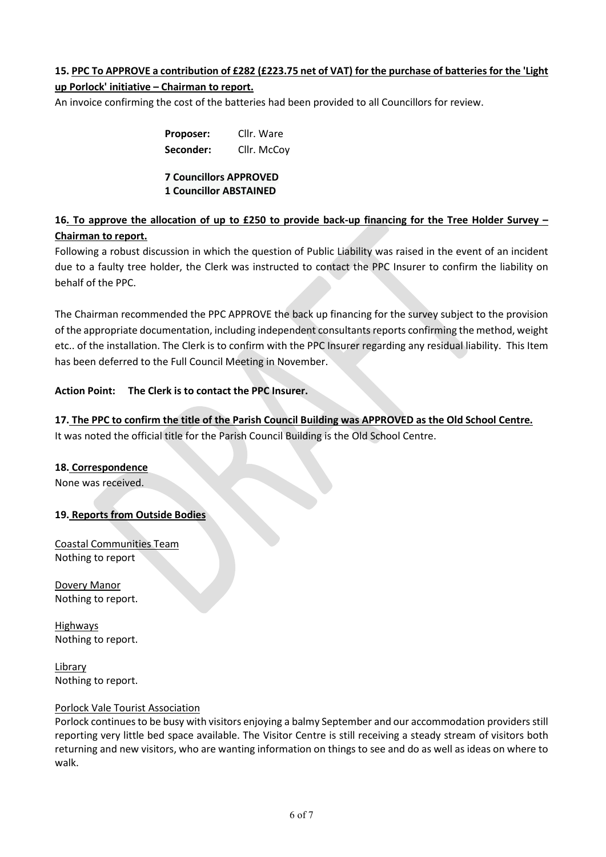# **15. PPC To APPROVE a contribution of £282 (£223.75 net of VAT) for the purchase of batteries for the 'Light**

# **up Porlock' initiative – Chairman to report.**

An invoice confirming the cost of the batteries had been provided to all Councillors for review.

| <b>Proposer:</b> | Cllr. Ware  |
|------------------|-------------|
| Seconder:        | Cllr. McCoy |

### **7 Councillors APPROVED 1 Councillor ABSTAINED**

# **16. To approve the allocation of up to £250 to provide back-up financing for the Tree Holder Survey – Chairman to report.**

Following a robust discussion in which the question of Public Liability was raised in the event of an incident due to a faulty tree holder, the Clerk was instructed to contact the PPC Insurer to confirm the liability on behalf of the PPC.

The Chairman recommended the PPC APPROVE the back up financing for the survey subject to the provision of the appropriate documentation, including independent consultants reports confirming the method, weight etc.. of the installation. The Clerk is to confirm with the PPC Insurer regarding any residual liability. This Item has been deferred to the Full Council Meeting in November.

# **Action Point: The Clerk is to contact the PPC Insurer.**

**17. The PPC to confirm the title of the Parish Council Building was APPROVED as the Old School Centre.** It was noted the official title for the Parish Council Building is the Old School Centre.

# **18. Correspondence**

None was received.

# **19. Reports from Outside Bodies**

Coastal Communities Team Nothing to report

Dovery Manor Nothing to report.

Highways Nothing to report.

Library Nothing to report.

# Porlock Vale Tourist Association

Porlock continues to be busy with visitors enjoying a balmy September and our accommodation providers still reporting very little bed space available. The Visitor Centre is still receiving a steady stream of visitors both returning and new visitors, who are wanting information on things to see and do as well as ideas on where to walk.